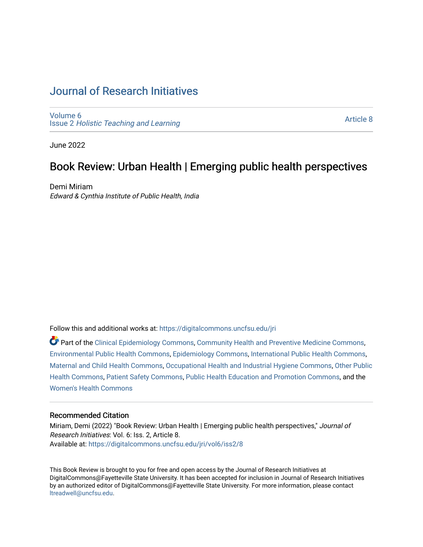# [Journal of Research Initiatives](https://digitalcommons.uncfsu.edu/jri)

[Volume 6](https://digitalcommons.uncfsu.edu/jri/vol6) Issue 2 [Holistic Teaching and Learning](https://digitalcommons.uncfsu.edu/jri/vol6/iss2)

[Article 8](https://digitalcommons.uncfsu.edu/jri/vol6/iss2/8) 

June 2022

# Book Review: Urban Health | Emerging public health perspectives

Demi Miriam Edward & Cynthia Institute of Public Health, India

Follow this and additional works at: [https://digitalcommons.uncfsu.edu/jri](https://digitalcommons.uncfsu.edu/jri?utm_source=digitalcommons.uncfsu.edu%2Fjri%2Fvol6%2Fiss2%2F8&utm_medium=PDF&utm_campaign=PDFCoverPages) 

Part of the [Clinical Epidemiology Commons,](https://network.bepress.com/hgg/discipline/815?utm_source=digitalcommons.uncfsu.edu%2Fjri%2Fvol6%2Fiss2%2F8&utm_medium=PDF&utm_campaign=PDFCoverPages) [Community Health and Preventive Medicine Commons](https://network.bepress.com/hgg/discipline/744?utm_source=digitalcommons.uncfsu.edu%2Fjri%2Fvol6%2Fiss2%2F8&utm_medium=PDF&utm_campaign=PDFCoverPages), [Environmental Public Health Commons,](https://network.bepress.com/hgg/discipline/739?utm_source=digitalcommons.uncfsu.edu%2Fjri%2Fvol6%2Fiss2%2F8&utm_medium=PDF&utm_campaign=PDFCoverPages) [Epidemiology Commons,](https://network.bepress.com/hgg/discipline/740?utm_source=digitalcommons.uncfsu.edu%2Fjri%2Fvol6%2Fiss2%2F8&utm_medium=PDF&utm_campaign=PDFCoverPages) [International Public Health Commons](https://network.bepress.com/hgg/discipline/746?utm_source=digitalcommons.uncfsu.edu%2Fjri%2Fvol6%2Fiss2%2F8&utm_medium=PDF&utm_campaign=PDFCoverPages), [Maternal and Child Health Commons,](https://network.bepress.com/hgg/discipline/745?utm_source=digitalcommons.uncfsu.edu%2Fjri%2Fvol6%2Fiss2%2F8&utm_medium=PDF&utm_campaign=PDFCoverPages) [Occupational Health and Industrial Hygiene Commons](https://network.bepress.com/hgg/discipline/742?utm_source=digitalcommons.uncfsu.edu%2Fjri%2Fvol6%2Fiss2%2F8&utm_medium=PDF&utm_campaign=PDFCoverPages), [Other Public](https://network.bepress.com/hgg/discipline/748?utm_source=digitalcommons.uncfsu.edu%2Fjri%2Fvol6%2Fiss2%2F8&utm_medium=PDF&utm_campaign=PDFCoverPages) [Health Commons,](https://network.bepress.com/hgg/discipline/748?utm_source=digitalcommons.uncfsu.edu%2Fjri%2Fvol6%2Fiss2%2F8&utm_medium=PDF&utm_campaign=PDFCoverPages) [Patient Safety Commons,](https://network.bepress.com/hgg/discipline/1410?utm_source=digitalcommons.uncfsu.edu%2Fjri%2Fvol6%2Fiss2%2F8&utm_medium=PDF&utm_campaign=PDFCoverPages) [Public Health Education and Promotion Commons,](https://network.bepress.com/hgg/discipline/743?utm_source=digitalcommons.uncfsu.edu%2Fjri%2Fvol6%2Fiss2%2F8&utm_medium=PDF&utm_campaign=PDFCoverPages) and the [Women's Health Commons](https://network.bepress.com/hgg/discipline/1241?utm_source=digitalcommons.uncfsu.edu%2Fjri%2Fvol6%2Fiss2%2F8&utm_medium=PDF&utm_campaign=PDFCoverPages)

#### Recommended Citation

Miriam, Demi (2022) "Book Review: Urban Health | Emerging public health perspectives," Journal of Research Initiatives: Vol. 6: Iss. 2, Article 8. Available at: [https://digitalcommons.uncfsu.edu/jri/vol6/iss2/8](https://digitalcommons.uncfsu.edu/jri/vol6/iss2/8?utm_source=digitalcommons.uncfsu.edu%2Fjri%2Fvol6%2Fiss2%2F8&utm_medium=PDF&utm_campaign=PDFCoverPages) 

This Book Review is brought to you for free and open access by the Journal of Research Initiatives at DigitalCommons@Fayetteville State University. It has been accepted for inclusion in Journal of Research Initiatives by an authorized editor of DigitalCommons@Fayetteville State University. For more information, please contact [ltreadwell@uncfsu.edu](mailto:ltreadwell@uncfsu.edu).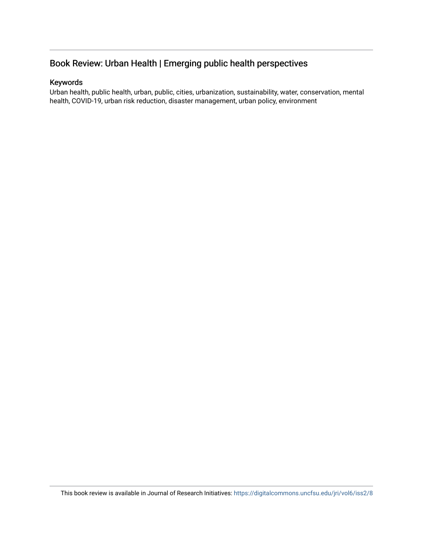# Book Review: Urban Health | Emerging public health perspectives

### Keywords

Urban health, public health, urban, public, cities, urbanization, sustainability, water, conservation, mental health, COVID-19, urban risk reduction, disaster management, urban policy, environment

This book review is available in Journal of Research Initiatives: <https://digitalcommons.uncfsu.edu/jri/vol6/iss2/8>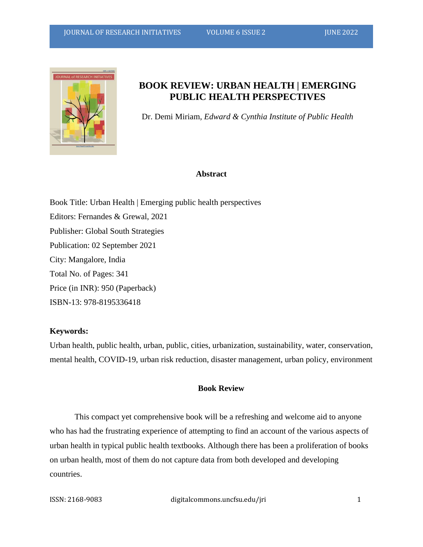

## **BOOK REVIEW: URBAN HEALTH | EMERGING PUBLIC HEALTH PERSPECTIVES**

Dr. Demi Miriam, *Edward & Cynthia Institute of Public Health*

#### **Abstract**

Book Title: Urban Health | Emerging public health perspectives Editors: Fernandes & Grewal, 2021 Publisher: Global South Strategies Publication: 02 September 2021 City: Mangalore, India Total No. of Pages: 341 Price (in INR): 950 (Paperback) ISBN-13: 978-8195336418

#### **Keywords:**

Urban health, public health, urban, public, cities, urbanization, sustainability, water, conservation, mental health, COVID-19, urban risk reduction, disaster management, urban policy, environment

### **Book Review**

This compact yet comprehensive book will be a refreshing and welcome aid to anyone who has had the frustrating experience of attempting to find an account of the various aspects of urban health in typical public health textbooks. Although there has been a proliferation of books on urban health, most of them do not capture data from both developed and developing countries.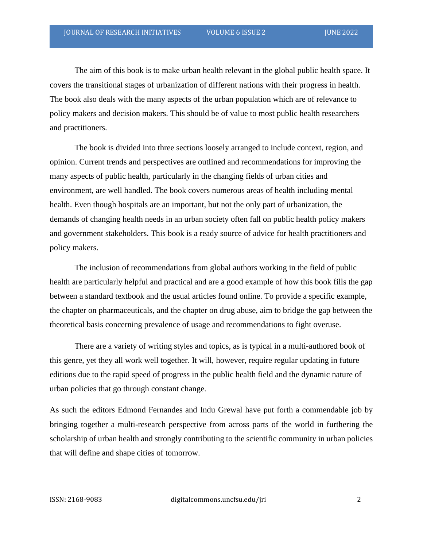The aim of this book is to make urban health relevant in the global public health space. It covers the transitional stages of urbanization of different nations with their progress in health. The book also deals with the many aspects of the urban population which are of relevance to policy makers and decision makers. This should be of value to most public health researchers and practitioners.

The book is divided into three sections loosely arranged to include context, region, and opinion. Current trends and perspectives are outlined and recommendations for improving the many aspects of public health, particularly in the changing fields of urban cities and environment, are well handled. The book covers numerous areas of health including mental health. Even though hospitals are an important, but not the only part of urbanization, the demands of changing health needs in an urban society often fall on public health policy makers and government stakeholders. This book is a ready source of advice for health practitioners and policy makers.

The inclusion of recommendations from global authors working in the field of public health are particularly helpful and practical and are a good example of how this book fills the gap between a standard textbook and the usual articles found online. To provide a specific example, the chapter on pharmaceuticals, and the chapter on drug abuse, aim to bridge the gap between the theoretical basis concerning prevalence of usage and recommendations to fight overuse.

There are a variety of writing styles and topics, as is typical in a multi-authored book of this genre, yet they all work well together. It will, however, require regular updating in future editions due to the rapid speed of progress in the public health field and the dynamic nature of urban policies that go through constant change.

As such the editors Edmond Fernandes and Indu Grewal have put forth a commendable job by bringing together a multi-research perspective from across parts of the world in furthering the scholarship of urban health and strongly contributing to the scientific community in urban policies that will define and shape cities of tomorrow.